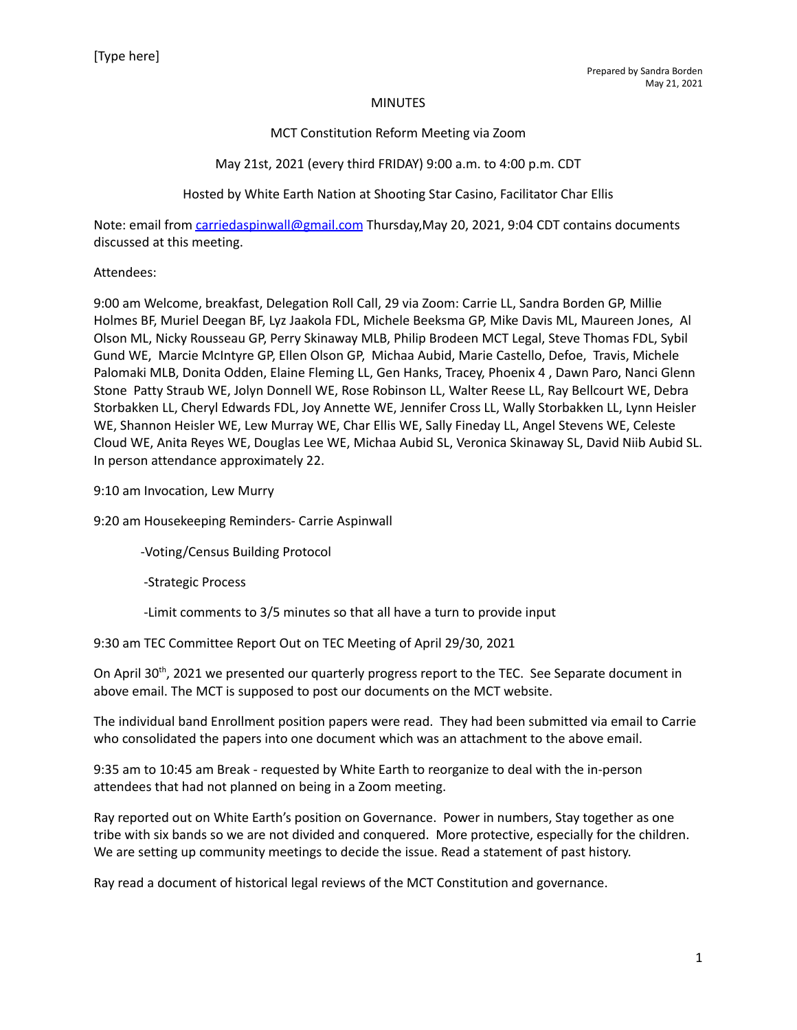### **MINUTES**

## MCT Constitution Reform Meeting via Zoom

## May 21st, 2021 (every third FRIDAY) 9:00 a.m. to 4:00 p.m. CDT

## Hosted by White Earth Nation at Shooting Star Casino, Facilitator Char Ellis

Note: email from [carriedaspinwall@gmail.com](mailto:carriedaspinwall@gmail.com) Thursday,May 20, 2021, 9:04 CDT contains documents discussed at this meeting.

### Attendees:

9:00 am Welcome, breakfast, Delegation Roll Call, 29 via Zoom: Carrie LL, Sandra Borden GP, Millie Holmes BF, Muriel Deegan BF, Lyz Jaakola FDL, Michele Beeksma GP, Mike Davis ML, Maureen Jones, Al Olson ML, Nicky Rousseau GP, Perry Skinaway MLB, Philip Brodeen MCT Legal, Steve Thomas FDL, Sybil Gund WE, Marcie McIntyre GP, Ellen Olson GP, Michaa Aubid, Marie Castello, Defoe, Travis, Michele Palomaki MLB, Donita Odden, Elaine Fleming LL, Gen Hanks, Tracey, Phoenix 4 , Dawn Paro, Nanci Glenn Stone Patty Straub WE, Jolyn Donnell WE, Rose Robinson LL, Walter Reese LL, Ray Bellcourt WE, Debra Storbakken LL, Cheryl Edwards FDL, Joy Annette WE, Jennifer Cross LL, Wally Storbakken LL, Lynn Heisler WE, Shannon Heisler WE, Lew Murray WE, Char Ellis WE, Sally Fineday LL, Angel Stevens WE, Celeste Cloud WE, Anita Reyes WE, Douglas Lee WE, Michaa Aubid SL, Veronica Skinaway SL, David Niib Aubid SL. In person attendance approximately 22.

9:10 am Invocation, Lew Murry

9:20 am Housekeeping Reminders- Carrie Aspinwall

-Voting/Census Building Protocol

-Strategic Process

-Limit comments to 3/5 minutes so that all have a turn to provide input

9:30 am TEC Committee Report Out on TEC Meeting of April 29/30, 2021

On April 30<sup>th</sup>, 2021 we presented our quarterly progress report to the TEC. See Separate document in above email. The MCT is supposed to post our documents on the MCT website.

The individual band Enrollment position papers were read. They had been submitted via email to Carrie who consolidated the papers into one document which was an attachment to the above email.

9:35 am to 10:45 am Break - requested by White Earth to reorganize to deal with the in-person attendees that had not planned on being in a Zoom meeting.

Ray reported out on White Earth's position on Governance. Power in numbers, Stay together as one tribe with six bands so we are not divided and conquered. More protective, especially for the children. We are setting up community meetings to decide the issue. Read a statement of past history.

Ray read a document of historical legal reviews of the MCT Constitution and governance.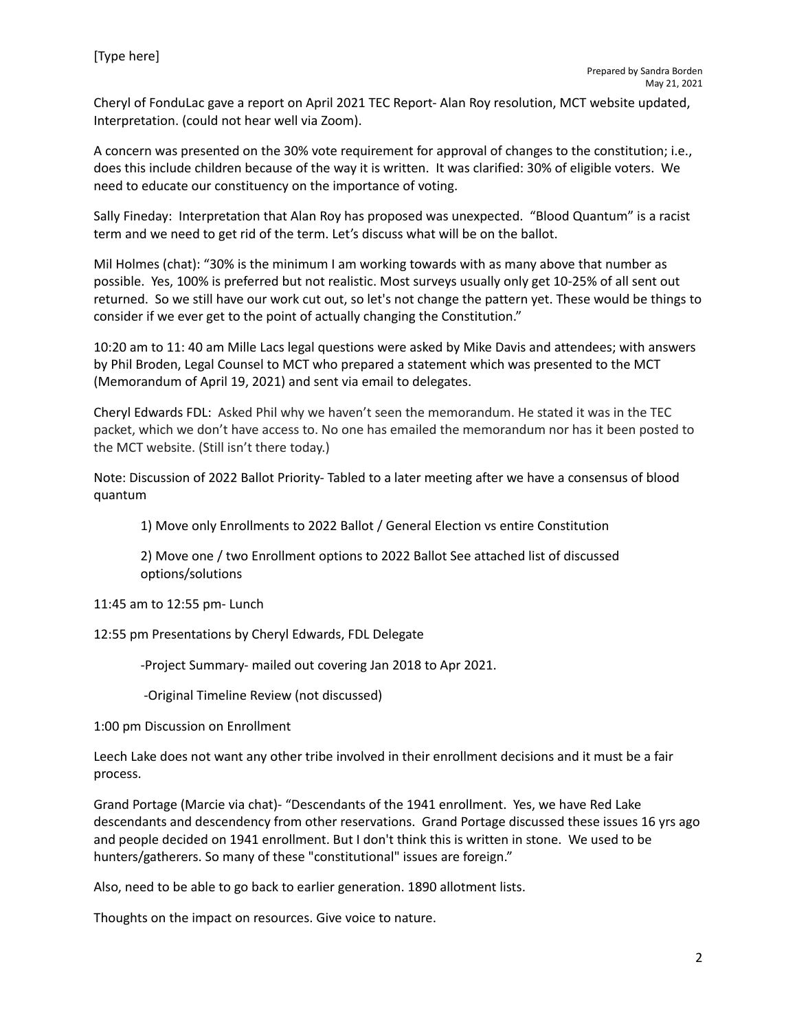Cheryl of FonduLac gave a report on April 2021 TEC Report- Alan Roy resolution, MCT website updated, Interpretation. (could not hear well via Zoom).

A concern was presented on the 30% vote requirement for approval of changes to the constitution; i.e., does this include children because of the way it is written. It was clarified: 30% of eligible voters. We need to educate our constituency on the importance of voting.

Sally Fineday: Interpretation that Alan Roy has proposed was unexpected. "Blood Quantum" is a racist term and we need to get rid of the term. Let's discuss what will be on the ballot.

Mil Holmes (chat): "30% is the minimum I am working towards with as many above that number as possible. Yes, 100% is preferred but not realistic. Most surveys usually only get 10-25% of all sent out returned. So we still have our work cut out, so let's not change the pattern yet. These would be things to consider if we ever get to the point of actually changing the Constitution."

10:20 am to 11: 40 am Mille Lacs legal questions were asked by Mike Davis and attendees; with answers by Phil Broden, Legal Counsel to MCT who prepared a statement which was presented to the MCT (Memorandum of April 19, 2021) and sent via email to delegates.

Cheryl Edwards FDL: Asked Phil why we haven't seen the memorandum. He stated it was in the TEC packet, which we don't have access to. No one has emailed the memorandum nor has it been posted to the MCT website. (Still isn't there today.)

Note: Discussion of 2022 Ballot Priority- Tabled to a later meeting after we have a consensus of blood quantum

1) Move only Enrollments to 2022 Ballot / General Election vs entire Constitution

2) Move one / two Enrollment options to 2022 Ballot See attached list of discussed options/solutions

11:45 am to 12:55 pm- Lunch

12:55 pm Presentations by Cheryl Edwards, FDL Delegate

-Project Summary- mailed out covering Jan 2018 to Apr 2021.

-Original Timeline Review (not discussed)

1:00 pm Discussion on Enrollment

Leech Lake does not want any other tribe involved in their enrollment decisions and it must be a fair process.

Grand Portage (Marcie via chat)- "Descendants of the 1941 enrollment. Yes, we have Red Lake descendants and descendency from other reservations. Grand Portage discussed these issues 16 yrs ago and people decided on 1941 enrollment. But I don't think this is written in stone. We used to be hunters/gatherers. So many of these "constitutional" issues are foreign."

Also, need to be able to go back to earlier generation. 1890 allotment lists.

Thoughts on the impact on resources. Give voice to nature.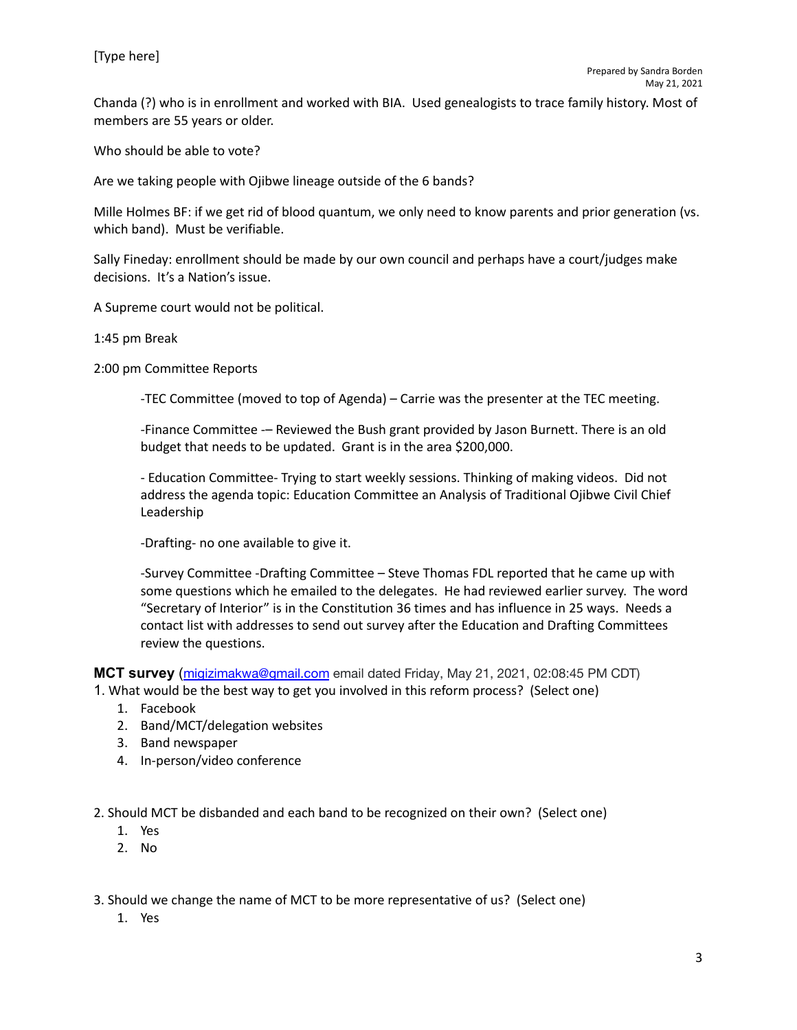Chanda (?) who is in enrollment and worked with BIA. Used genealogists to trace family history. Most of members are 55 years or older.

Who should be able to vote?

Are we taking people with Ojibwe lineage outside of the 6 bands?

Mille Holmes BF: if we get rid of blood quantum, we only need to know parents and prior generation (vs. which band). Must be verifiable.

Sally Fineday: enrollment should be made by our own council and perhaps have a court/judges make decisions. It's a Nation's issue.

A Supreme court would not be political.

1:45 pm Break

2:00 pm Committee Reports

-TEC Committee (moved to top of Agenda) – Carrie was the presenter at the TEC meeting.

-Finance Committee -– Reviewed the Bush grant provided by Jason Burnett. There is an old budget that needs to be updated. Grant is in the area \$200,000.

- Education Committee- Trying to start weekly sessions. Thinking of making videos. Did not address the agenda topic: Education Committee an Analysis of Traditional Ojibwe Civil Chief Leadership

-Drafting- no one available to give it.

-Survey Committee -Drafting Committee – Steve Thomas FDL reported that he came up with some questions which he emailed to the delegates. He had reviewed earlier survey. The word "Secretary of Interior" is in the Constitution 36 times and has influence in 25 ways. Needs a contact list with addresses to send out survey after the Education and Drafting Committees review the questions.

**MCT survey** ([migizimakwa@gmail.com](mailto:migizimakwa@gmail.com) email dated Friday, May 21, 2021, 02:08:45 PM CDT) 1. What would be the best way to get you involved in this reform process? (Select one)

- 1. Facebook
- 2. Band/MCT/delegation websites
- 3. Band newspaper
- 4. In-person/video conference

2. Should MCT be disbanded and each band to be recognized on their own? (Select one)

- 1. Yes
- 2. No

3. Should we change the name of MCT to be more representative of us? (Select one)

1. Yes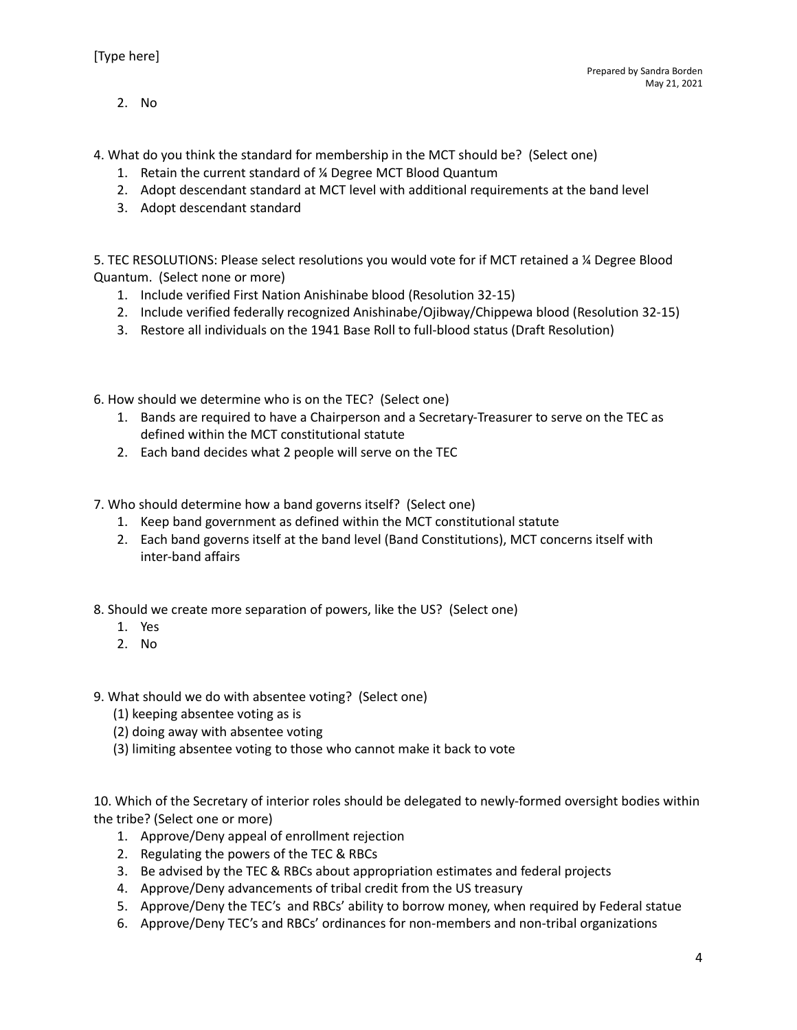2. No

4. What do you think the standard for membership in the MCT should be? (Select one)

- 1. Retain the current standard of ¼ Degree MCT Blood Quantum
- 2. Adopt descendant standard at MCT level with additional requirements at the band level
- 3. Adopt descendant standard

5. TEC RESOLUTIONS: Please select resolutions you would vote for if MCT retained a ¼ Degree Blood Quantum. (Select none or more)

- 1. Include verified First Nation Anishinabe blood (Resolution 32-15)
- 2. Include verified federally recognized Anishinabe/Ojibway/Chippewa blood (Resolution 32-15)
- 3. Restore all individuals on the 1941 Base Roll to full-blood status (Draft Resolution)
- 6. How should we determine who is on the TEC? (Select one)
	- 1. Bands are required to have a Chairperson and a Secretary-Treasurer to serve on the TEC as defined within the MCT constitutional statute
	- 2. Each band decides what 2 people will serve on the TEC
- 7. Who should determine how a band governs itself? (Select one)
	- 1. Keep band government as defined within the MCT constitutional statute
	- 2. Each band governs itself at the band level (Band Constitutions), MCT concerns itself with inter-band affairs
- 8. Should we create more separation of powers, like the US? (Select one)
	- 1. Yes
	- 2. No
- 9. What should we do with absentee voting? (Select one)
	- (1) keeping absentee voting as is
	- (2) doing away with absentee voting
	- (3) limiting absentee voting to those who cannot make it back to vote

10. Which of the Secretary of interior roles should be delegated to newly-formed oversight bodies within the tribe? (Select one or more)

- 1. Approve/Deny appeal of enrollment rejection
- 2. Regulating the powers of the TEC & RBCs
- 3. Be advised by the TEC & RBCs about appropriation estimates and federal projects
- 4. Approve/Deny advancements of tribal credit from the US treasury
- 5. Approve/Deny the TEC's and RBCs' ability to borrow money, when required by Federal statue
- 6. Approve/Deny TEC's and RBCs' ordinances for non-members and non-tribal organizations